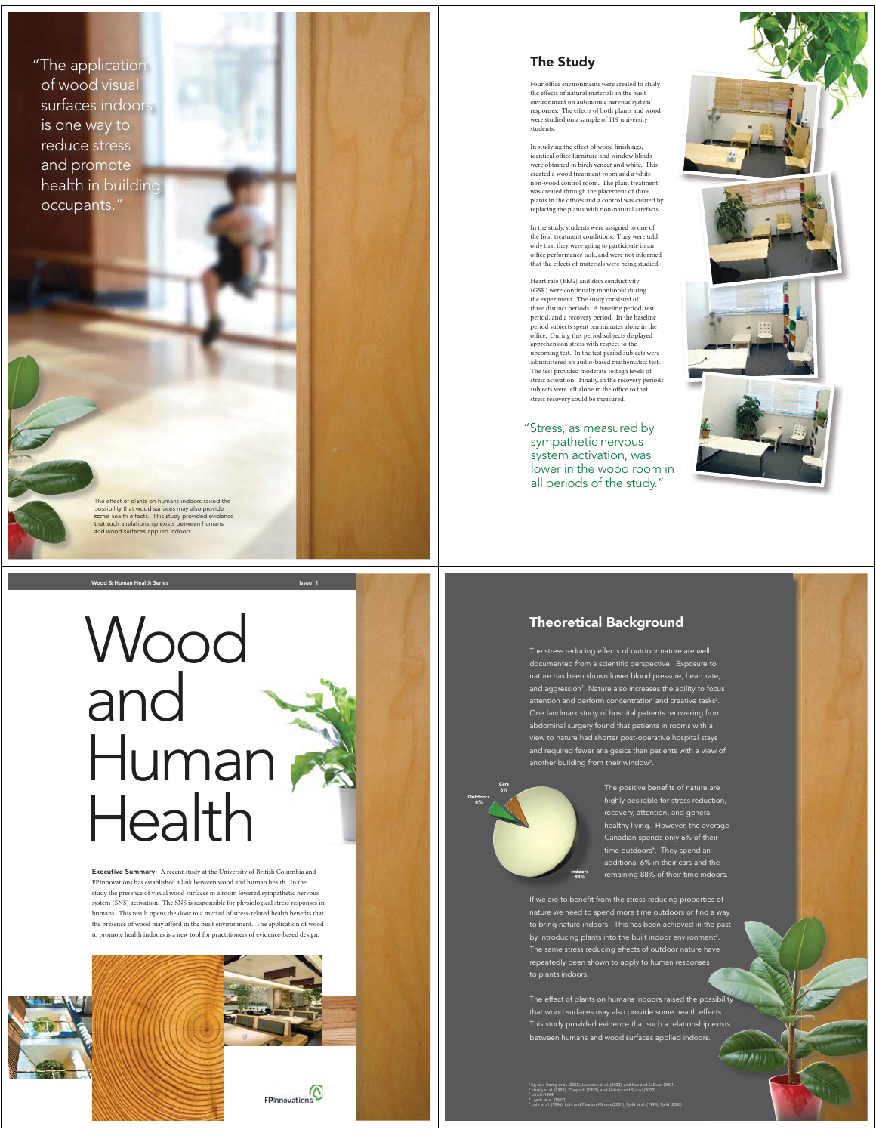"The application of wood visual surfaces indoors is one way to reduce stress and promote health in building occupants."

The effect of plants on humans indoors raised the<br>possibility that wood surfaces may also provide<br>some health effects. This study provided evidence<br>that such a relationship exists between humans<br>and wood surfaces applied i

Wood and Human Health

Wood & Human Health Series Issue 1

Executive Summary: A recent study at the University of British Columbia and FPInnovations has established a link between wood and human health. In the study the presence of visual wood surfaces in a room lowered sympathetic nervous system (SNS) activation. The SNS is responsible for physiological stress responses in humans. This result opens the door to a myriad of stress-related health benefits that the presence of wood may afford in the built environment. The application of wood to promote health indoors is a new tool for practitioners of evidence-based design.

 $F$ Plnnovations



Four office environments were created to study the effects of natural materials in the built environment on autonomic nervous system responses. The effects of both plants and wood e studied on a sample of 119 university students.

In studying the effect of wood finishings, identical office furniture and window blinds were obtained in birch veneer and white. This created a wood treatment room and a white non-wood control room. The plant treatment was created through the placement of three plants in the offices and a control was created by replacing the plants with non-natural artefacts.

In the study, students were assigned to one of the four treatment conditions. They were told only that they were going to participate in an office performance task, and were not informed that the effects of materials were being studied.

Heart rate (EKG) and skin conductivity (GSR) were continually monitored during the experiment. The study consisted of three distinct periods. A baseline period, test period, and a recovery period. In the baseline period subjects spent ten minutes alone in the office. During this period subjects displayed apprehension stress with respect to the upcoming test. In the test period subjects were administered an audio-based mathematics test. The test provided moderate to high levels of stress activation. Finally, in the recovery periods subjects were left alone in the office so that stress recovery could be measured.

"Stress, as measured by sympathetic nervous system activation, was lower in the wood room in all periods of the study."



# Theoretical Background

The stress reducing effects of outdoor nature are well documented from a scientific perspective. Exposure to nature has been shown lower blood pressure, heart rate, and aggression1 . Nature also increases the ability to focus attention and perform concentration and creative tasks<sup>2</sup>. One landmark study of hospital patients recovering from abdominal surgery found that patients in rooms with a view to nature had shorter post-operative hospital stays and required fewer analgesics than patients with a view of another building from their window3 .



The positive benefits of nature are highly desirable for stress reduction, recovery, attention, and general healthy living. However, the average Canadian spends only 6% of their time outdoors<sup>4</sup>. They spend an additional 6% in their cars and the remaining 88% of their time indoors.

to bring nature indoors. This has been achieved in the past by introducing plants into the built indoor environment<sup>5</sup>. The same stress reducing effects of outdoor nature have repeatedly been shown to apply to human responses to plants indoors. ent5. s

The effect of plants on humans indoors raised the possibility that wood surfaces may also provide some health effects. This study provided evidence that such a relationship exists between humans and wood surfaces applied indoors.

in n i

 1 Eg. see Hartig et al. (2003), Laumann et al. (2003), and Kou and Sullivan (2001). Hartig et al. (1991), Cimprich (1992), and Shibata and Suzuki (2002) Ulrich (1984) Leech et al. (1997) Lohr et al. (1996), Lohr and Pearson-Mimms (2001), Fjeld et al. (1998), Fjeld (2000)